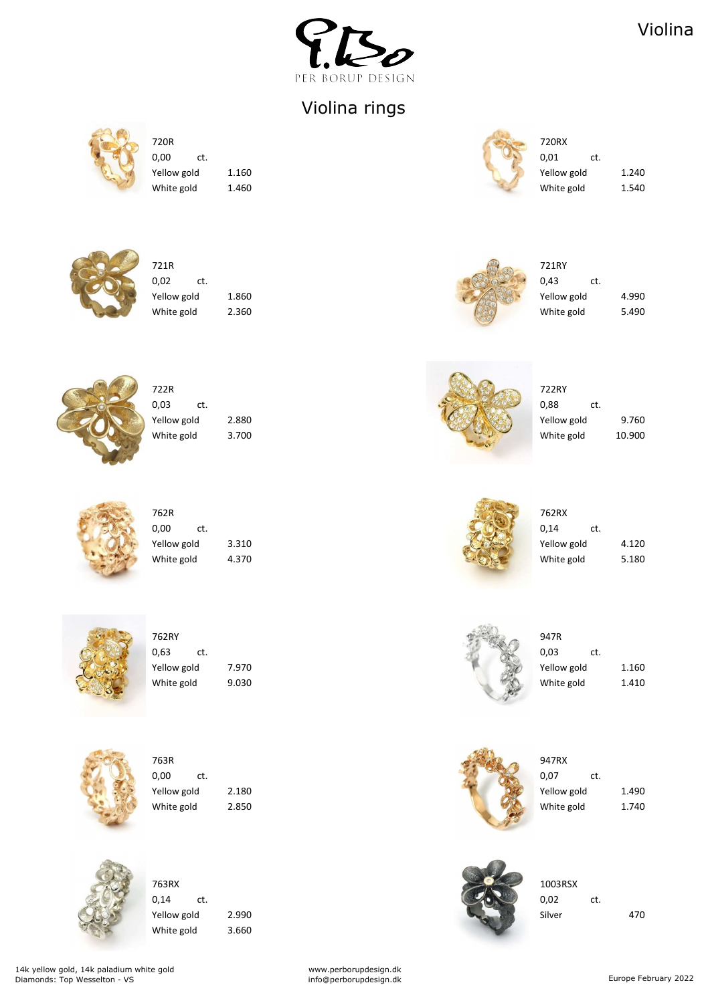







| K      |       |
|--------|-------|
| ct.    |       |
| v gold | 1.240 |
| gold   | 1.540 |





| 721R        |       |   | 721RY       |       |
|-------------|-------|---|-------------|-------|
| 0,02<br>ct. |       |   | 0,43<br>ct. |       |
| Yellow gold | 1.860 | A | Yellow gold | 4.990 |
| White gold  | 2.360 |   | White gold  | 5.490 |

| 72IN        |       |   | 7 Z L N I   |       |
|-------------|-------|---|-------------|-------|
| 0,02<br>ct. |       |   | 0,43<br>ct. |       |
| Yellow gold | 1.860 | A | Yellow gold | 4.990 |
| White gold  | 2.360 |   | White gold  | 5.490 |



| 722R        |     |      |
|-------------|-----|------|
| 0,03        | ct. |      |
| Yellow gold |     | 2.88 |
| White gold  |     | 3.7C |





| 22RY       |     |        |
|------------|-----|--------|
| 88.∖       | ct. |        |
| ellow gold |     | 9.760  |
| Vhite gold |     | 10.900 |



| 7 94 11     |       | 7 UZIVA     |     |
|-------------|-------|-------------|-----|
| 0,00<br>ct. |       | 0,14        | ct. |
| Yellow gold | 3.310 | Yellow gold |     |
| White gold  | 4.370 | White gold  |     |



 $762\text{RY}$  947R 0,63 ct.  $\begin{array}{ccc} 0.63 & 0.03 & 0.03 \end{array}$ Yellow gold 7.970 Yellow gold 7.970

| 762R        |       | 762RX       |       |
|-------------|-------|-------------|-------|
| 0,00<br>ct. |       | 0,14<br>ct. |       |
| Yellow gold | 3.310 | Yellow gold | 4.120 |
| White gold  | 4.370 | White gold  | 5.180 |



www.perborupdesign.dk info@perborupdesign.dk example february 2022

| 762RY       |       |                                      | 947R        |       |
|-------------|-------|--------------------------------------|-------------|-------|
| 0,63<br>ct. |       |                                      | 0,03<br>ct. |       |
| Yellow gold | 7.970 | <b>College Report</b>                | Yellow gold | 1.160 |
| White gold  | 9.030 | $\mathcal{L} = \mathcal{L}$<br>アニーンズ | White gold  | 1.410 |







0,14 ct.  $\bigcirc$  0,02 ct. White gold 3.660

Yellow gold 2.180 2.180 2.180 2.180 2.180 2.180 2.180 2.180 2.180 2.180 2.180 2.180 2.180 2.180 2.180 2.180 2.1 White gold 2.850 2.850 2.850 2.850 2.850 2.850 2.740 2.850 2.740 2.740



Yellow gold 2.990 2.990 2.99 and the set of the set of the set of the set of the set of the set of the set of the set of the set of the set of the set of the set of the set of the set of the set of the set of the set of th



## Violina rings

14k yellow gold, 14k paladium white gold Diamonds: Top Wesselton - VS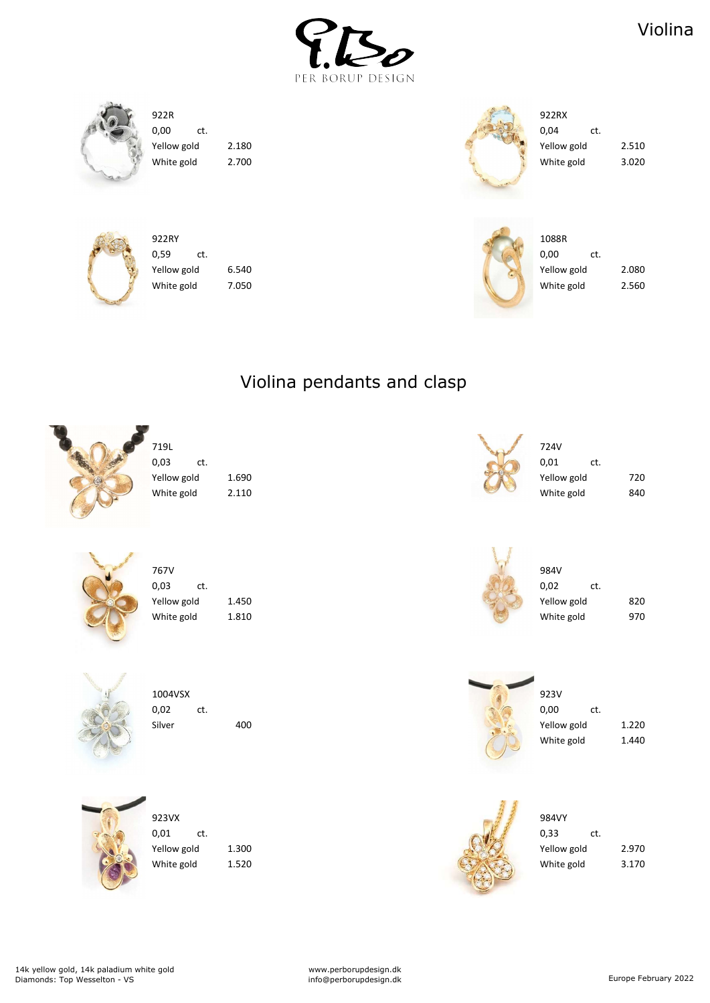



0,00 ct.  $\qquad \qquad 0.04$  ct.



| YZZR        |       | YZZRA       |       |
|-------------|-------|-------------|-------|
| 0,00<br>ct. |       | 0,04<br>ct. |       |
| Yellow gold | 2.180 | Yellow gold | 2.510 |
| White gold  | 2.700 | White gold  | 3.020 |



| 922RY       |       |    | 1088R       |       |
|-------------|-------|----|-------------|-------|
| 0,59<br>ct. |       |    | 0,00<br>ct. |       |
| Yellow gold | 6.540 | 14 | Yellow gold | 2.080 |
| White gold  | 7.050 |    | White gold  | 2.560 |





| 767V        |       | 984V        |     |
|-------------|-------|-------------|-----|
| 0,03<br>ct. |       | 0,02        | ct. |
| Yellow gold | 1.450 | Yellow gold |     |
| White gold  | 1.810 | White gold  |     |



www.perborupdesign.dk info@perborupdesign.dk example february 2022

| 767V        |       | 984V        |     |
|-------------|-------|-------------|-----|
| 0,03<br>ct. |       | 0,02<br>ct. |     |
| Yellow gold | 1.450 | Yellow gold | 820 |
| White gold  | 1.810 | White gold  | 970 |





0,01 ct.  $\qquad \qquad$  0,33 ct.



Yellow gold 1.300 1.300 1.300 1.300 1.300 1.300 1.300 1.970 1.970 1.970 1.970 1.970 White gold 1.520 1.520 1.520 Mhite gold 3.170

## Violina pendants and clasp



| 719L        |     |               |
|-------------|-----|---------------|
| ),03        | ct. |               |
| 'ellow gold |     | 1.69          |
| Vhite gold  |     | $2.1^{\circ}$ |
|             |     |               |



14k yellow gold, 14k paladium white gold Diamonds: Top Wesselton - VS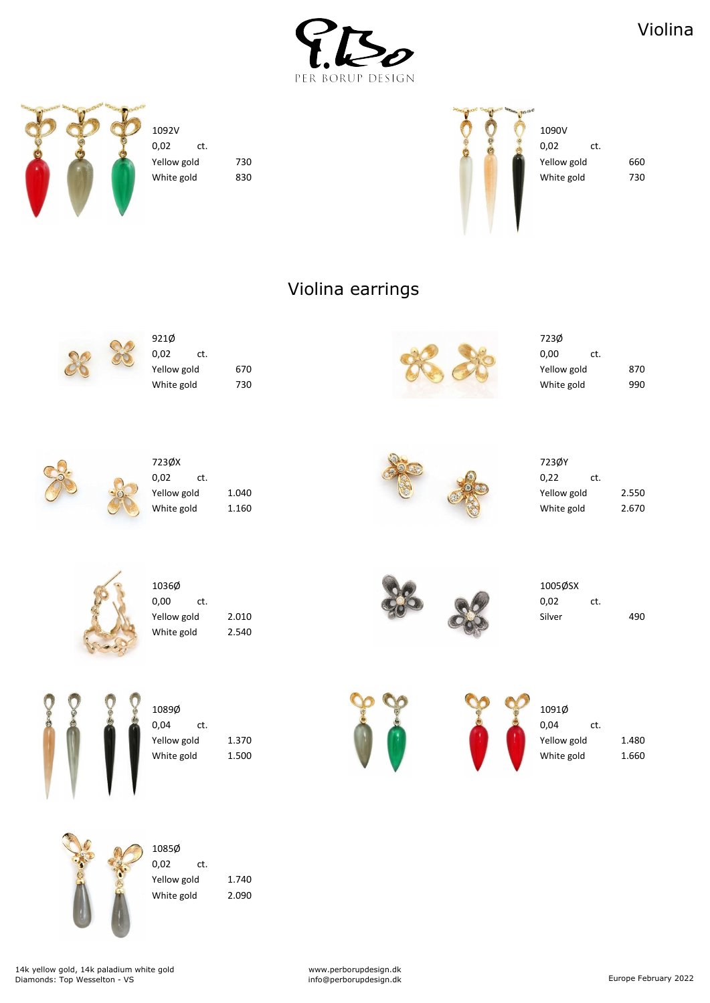







| 723Ø        |     |     |
|-------------|-----|-----|
| 0,00        | ct. |     |
| Yellow gold |     | 870 |
| White gold  |     | 990 |
|             |     |     |



| 723ØX       |     |       |
|-------------|-----|-------|
| 0,02        | ct. |       |
| Yellow gold |     | 1.040 |
| White gold  |     | 1.16  |
|             |     |       |



| 723ØY       |     |       |
|-------------|-----|-------|
| 0,22        | ct. |       |
| Yellow gold |     | 2.550 |
| White gold  |     | 2.670 |



 $0,00$  ct.  $0.02$  ct. White gold 2.540



www.perborupdesign.dk info@perborupdesign.dk example february 2022

| 1036Ø       |       |   | 1005ØSX |          |     |
|-------------|-------|---|---------|----------|-----|
| 0,00<br>ct. |       |   | 0,02    | r+<br>ぃぃ |     |
| Yellow gold | 2.010 | n | Silver  |          | 490 |





|             | 1091Ø         |     |       |
|-------------|---------------|-----|-------|
| 0,04        |               | ct. |       |
| Yellow gold |               |     | 1.480 |
|             | $M$ hito aold |     | 1 GGN |



Violina earrings



| 921W        |     |    |
|-------------|-----|----|
| 0,02        | ct. |    |
| Yellow gold |     | 67 |
| White gold  |     | 73 |
|             |     |    |

14k yellow gold, 14k paladium white gold Diamonds: Top Wesselton - VS